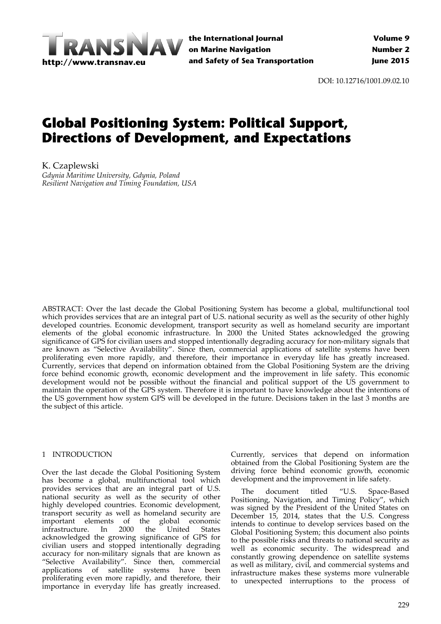

**the International Journal on Marine Navigation and Safety of Sea Transportation**

DOI: 10.12716/1001.09.02.10

# **Global Positioning System: Political Support, Directions of Development, and Expectations**

K. Czaplewski *Gdynia Maritime University, Gdynia, Poland Resilient Navigation and Timing Foundation, USA*

ABSTRACT: Over the last decade the Global Positioning System has become a global, multifunctional tool which provides services that are an integral part of U.S. national security as well as the security of other highly developed countries. Economic development, transport security as well as homeland security are important elements of the global economic infrastructure. In 2000 the United States acknowledged the growing significance of GPS for civilian users and stopped intentionally degrading accuracy for non-military signals that are known as "Selective Availability". Since then, commercial applications of satellite systems have been proliferating even more rapidly, and therefore, their importance in everyday life has greatly increased. Currently, services that depend on information obtained from the Global Positioning System are the driving force behind economic growth, economic development and the improvement in life safety. This economic development would not be possible without the financial and political support of the US government to maintain the operation of the GPS system. Therefore it is important to have knowledge about the intentions of the US government how system GPS will be developed in the future. Decisions taken in the last 3 months are the subject of this article.

# 1 INTRODUCTION

Over the last decade the Global Positioning System has become a global, multifunctional tool which provides services that are an integral part of U.S. national security as well as the security of other highly developed countries. Economic development, transport security as well as homeland security are important elements of the global economic infrastructure. In 2000 the United States acknowledged the growing significance of GPS for civilian users and stopped intentionally degrading accuracy for non‐military signals that are known as "Selective Availability". Since then, commercial applications of satellite systems have been proliferating even more rapidly, and therefore, their importance in everyday life has greatly increased.

Currently, services that depend on information obtained from the Global Positioning System are the driving force behind economic growth, economic development and the improvement in life safety.

The document titled "U.S. Space-Based Positioning, Navigation, and Timing Policy", which was signed by the President of the United States on December 15, 2014, states that the U.S. Congress intends to continue to develop services based on the Global Positioning System; this document also points to the possible risks and threats to national security as well as economic security. The widespread and constantly growing dependence on satellite systems as well as military, civil, and commercial systems and infrastructure makes these systems more vulnerable to unexpected interruptions to the process of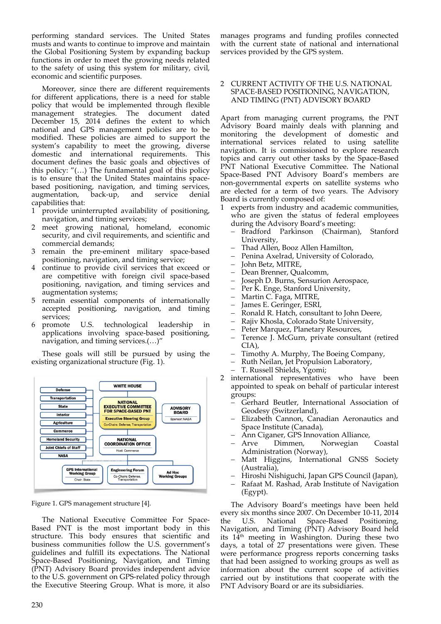performing standard services. The United States musts and wants to continue to improve and maintain the Global Positioning System by expanding backup functions in order to meet the growing needs related to the safety of using this system for military, civil, economic and scientific purposes.

Moreover, since there are different requirements for different applications, there is a need for stable policy that would be implemented through flexible management strategies. The document dated December 15, 2014 defines the extent to which national and GPS management policies are to be modified. These policies are aimed to support the system's capability to meet the growing, diverse domestic and international requirements. This document defines the basic goals and objectives of this policy: "(…) The fundamental goal of this policy is to ensure that the United States maintains space‐ based positioning, navigation, and timing services, augmentation, back‐up, and service denial capabilities that:

- 1 provide uninterrupted availability of positioning, navigation, and timing services;
- 2 meet growing national, homeland, economic security, and civil requirements, and scientific and commercial demands;
- 3 remain the pre‐eminent military space‐based positioning, navigation, and timing service;
- 4 continue to provide civil services that exceed or are competitive with foreign civil space‐based positioning, navigation, and timing services and augmentation systems;
- 5 remain essential components of internationally accepted positioning, navigation, and timing services;
- 6 promote U.S. technological leadership in applications involving space‐based positioning, navigation, and timing services.(…)"

These goals will still be pursued by using the existing organizational structure (Fig. 1).



Figure 1. GPS management structure [4].

The National Executive Committee For Space‐ Based PNT is the most important body in this structure. This body ensures that scientific and business communities follow the U.S. government's guidelines and fulfill its expectations. The National Space‐Based Positioning, Navigation, and Timing (PNT) Advisory Board provides independent advice to the U.S. government on GPS‐related policy through the Executive Steering Group. What is more, it also manages programs and funding profiles connected with the current state of national and international services provided by the GPS system.

#### 2 CURRENT ACTIVITY OF THE U.S. NATIONAL SPACE‐BASED POSITIONING, NAVIGATION, AND TIMING (PNT) ADVISORY BOARD

Apart from managing current programs, the PNT Advisory Board mainly deals with planning and monitoring the development of domestic and international services related to using satellite navigation. It is commissioned to explore research topics and carry out other tasks by the Space‐Based PNT National Executive Committee. The National Space‐Based PNT Advisory Board's members are non‐governmental experts on satellite systems who are elected for a term of two years. The Advisory Board is currently composed of:

- 1 experts from industry and academic communities, who are given the status of federal employees during the Advisory Board's meeting:
	- Bradford Parkinson (Chairman), Stanford University,
	- Thad Allen, Booz Allen Hamilton,
	- Penina Axelrad, University of Colorado,
	- John Betz, MITRE,
	- Dean Brenner, Qualcomm,
	- Joseph D. Burns, Sensurion Aerospace,
	- $-$  Per  $\tilde{K}$ . Enge, Stanford University,
	- Martin C. Faga, MITRE,
	- James E. Geringer, ESRI,
	- Ronald R. Hatch, consultant to John Deere,
	- Rajiv Khosla, Colorado State University,
	- Peter Marquez, Planetary Resources,
	- Terence J. McGurn, private consultant (retired CIA),
	- Timothy A. Murphy, The Boeing Company,
	- Ruth Neilan, Jet Propulsion Laboratory,
	- T. Russell Shields, Ygomi;
- 2 international representatives who have been appointed to speak on behalf of particular interest groups:
	- Gerhard Beutler, International Association of Geodesy (Switzerland),
	- Elizabeth Cannon, Canadian Aeronautics and Space Institute (Canada),
	- Ann Ciganer, GPS Innovation Alliance,
	- Dimmen, Norwegian Coastal Administration (Norway),
	- Matt Higgins, International GNSS Society (Australia),
	- Hiroshi Nishiguchi, Japan GPS Council (Japan),
	- Rafaat M. Rashad, Arab Institute of Navigation (Egypt).

The Advisory Board's meetings have been held every six months since 2007. On December 10‐11, 2014 the U.S. National Space‐Based Positioning, Navigation, and Timing (PNT) Advisory Board held its 14<sup>th</sup> meeting in Washington. During these two days, a total of 27 presentations were given. These were performance progress reports concerning tasks that had been assigned to working groups as well as information about the current scope of activities carried out by institutions that cooperate with the PNT Advisory Board or are its subsidiaries.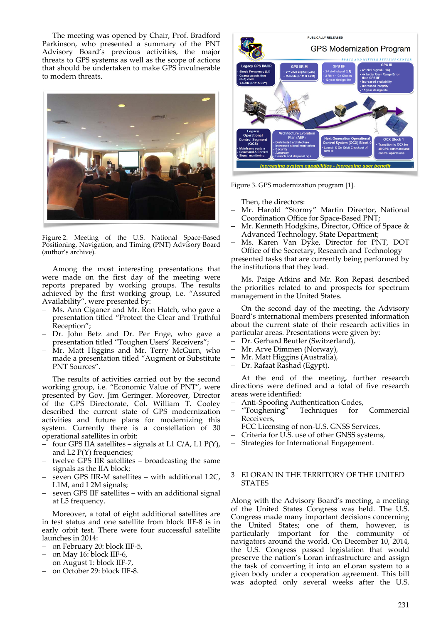The meeting was opened by Chair, Prof. Bradford Parkinson, who presented a summary of the PNT Advisory Board's previous activities, the major threats to GPS systems as well as the scope of actions that should be undertaken to make GPS invulnerable to modern threats.



Figure 2. Meeting of the U.S. National Space-Based Positioning, Navigation, and Timing (PNT) Advisory Board (author's archive).

Among the most interesting presentations that were made on the first day of the meeting were reports prepared by working groups. The results achieved by the first working group, i.e. "Assured Availability", were presented by:

- Ms. Ann Ciganer and Mr. Ron Hatch, who gave a presentation titled "Protect the Clear and Truthful Reception";
- Dr. John Betz and Dr. Per Enge, who gave a presentation titled "Toughen Users' Receivers";
- Mr. Matt Higgins and Mr. Terry McGurn, who made a presentation titled "Augment or Substitute PNT Sources".

The results of activities carried out by the second working group, i.e. "Economic Value of PNT", were presented by Gov. Jim Geringer. Moreover, Director of the GPS Directorate, Col. William T. Cooley described the current state of GPS modernization activities and future plans for modernizing this system. Currently there is a constellation of 30 operational satellites in orbit:

- $\overline{\phantom{a}}$  four GPS IIA satellites signals at L1 C/A, L1 P(Y), and L2 P(Y) frequencies;
- twelve  $\overrightarrow{GPS}$  IIR satellites broadcasting the same signals as the IIA block;
- seven GPS IIR-M satellites with additional L2C, L1M, and L2M signals;
- seven GPS IIF satellites with an additional signal at L5 frequency.

Moreover, a total of eight additional satellites are in test status and one satellite from block IIF‐8 is in early orbit test. There were four successful satellite launches in 2014:

- on February 20: block IIF‐5,
- on May 16: block IIF-6,
- on August 1: block IIF-7,
- on October 29: block IIF-8.



Figure 3. GPS modernization program [1].

Then, the directors:

- Mr. Harold "Stormy" Martin Director, National Coordination Office for Space‐Based PNT;
- Mr. Kenneth Hodgkins, Director, Office of Space & Advanced Technology, State Department;
- Ms. Karen Van Dyke, Director for PNT, DOT Office of the Secretary, Research and Technology

presented tasks that are currently being performed by the institutions that they lead.

Ms. Paige Atkins and Mr. Ron Repasi described the priorities related to and prospects for spectrum management in the United States.

On the second day of the meeting, the Advisory Board's international members presented information about the current state of their research activities in particular areas. Presentations were given by:

- Dr. Gerhard Beutler (Switzerland),
- Mr. Arve Dimmen (Norway),
- Mr. Matt Higgins (Australia),
- Dr. Rafaat Rashad (Egypt).

At the end of the meeting, further research directions were defined and a total of five research areas were identified:

- 
- Anti-Spoofing Authentication Codes,<br>"Toughening" Techniques for Techniques for Commercial Receivers,
- FCC Licensing of non-U.S. GNSS Services,
- Criteria for U.S. use of other GNSS systems,
- Strategies for International Engagement.

#### 3 ELORAN IN THE TERRITORY OF THE UNITED STATES

Along with the Advisory Board's meeting, a meeting of the United States Congress was held. The U.S. Congress made many important decisions concerning the United States; one of them, however, is particularly important for the community of navigators around the world. On December 10, 2014, the U.S. Congress passed legislation that would preserve the nation's Loran infrastructure and assign the task of converting it into an eLoran system to a given body under a cooperation agreement. This bill was adopted only several weeks after the U.S.